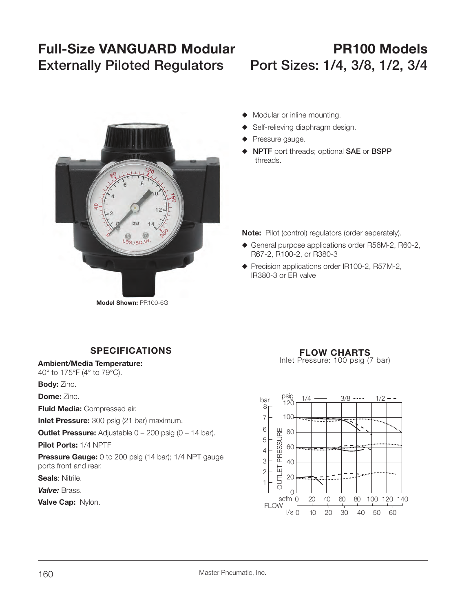# **Full-Size VANGUARD Modular PR100 ModelsExternally Piloted Regulators Port Sizes: 1/4, 3/8, 1/2, 3/4**



- $\blacklozenge$  Modular or inline mounting.
- ◆ Self-relieving diaphragm design.
- $\blacklozenge$  Pressure gauge.
- ◆ **NPTF** port threads; optional SAE or BSPP threads.

**Note:** Pilot (control) regulators (order seperately).

- ◆ General purpose applications order R56M-2, R60-2, R67-2, R100-2, or R380-3
- $\blacklozenge$  Precision applications order IR100-2, R57M-2, IR380-3 or ER valve

# **SPECIFICATIONS**

**Ambient/Media Temperature:**

40° to 175°F (4° to 79°C).

**Body:** Zinc.

**Dome:** Zinc.

**Fluid Media:** Compressed air.

**Inlet Pressure:** 300 psig (21 bar) maximum.

**Outlet Pressure:** Adjustable 0 - 200 psig (0 - 14 bar).

**Pilot Ports:** 1/4 NPTF

**Pressure Gauge:** 0 to 200 psig (14 bar); 1/4 NPT gauge ports front and rear.

**Seals**: Nitrile.

*Valve:* Brass.

# **FLOW CHARTS**

Inlet Pressure: 100 psig (7 bar)

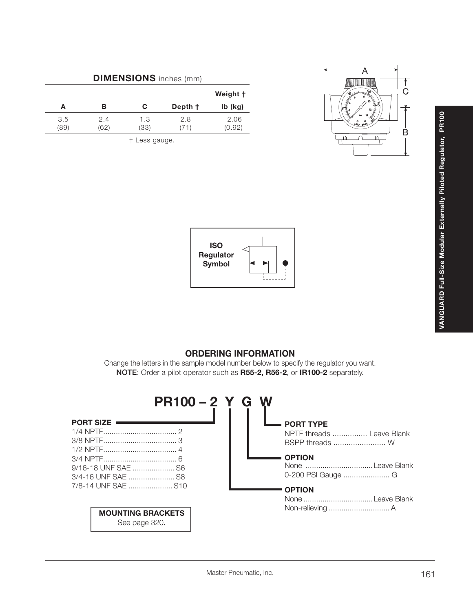| <b>DIMENSIONS</b> inches (mm) |             |             |                    |                |  |  |
|-------------------------------|-------------|-------------|--------------------|----------------|--|--|
|                               |             |             |                    | Weight †       |  |  |
| А                             | в           | C           | Depth <sup>+</sup> | $Ib$ (kg)      |  |  |
| 3.5<br>(89)                   | 2.4<br>(62) | 1.3<br>(33) | 2.8<br>711         | 2.06<br>(0.92) |  |  |

† Less gauge.





# **ORDERING INFORMATION**

Change the letters in the sample model number below to specify the regulator you want. **NOTE**: Order a pilot operator such as **R55-2, R56-2**, or **IR100-2** separately.

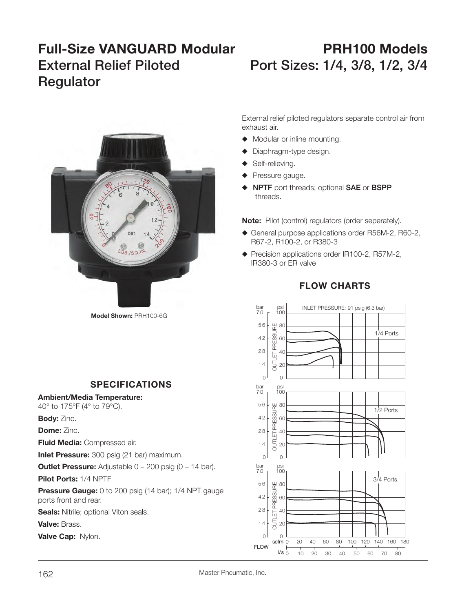# **Full-Size VANGUARD Modular PRH100 Models**External Relief Piloted Port Sizes: 1/4, 3/8, 1/2, 3/4 **Regulator**



**Model Shown:** PRH100-6G

# **SPECIFICATIONS**

### **Ambient/Media Temperature:**

40° to 175°F (4° to 79°C).

**Body:** Zinc.

**Dome:** Zinc.

**Fluid Media:** Compressed air.

**Inlet Pressure:** 300 psig (21 bar) maximum.

**Outlet Pressure:** Adjustable 0 – 200 psig (0 – 14 bar).

**Pilot Ports:** 1/4 NPTF

**Pressure Gauge:** 0 to 200 psig (14 bar); 1/4 NPT gauge ports front and rear.

**Seals:** Nitrile; optional Viton seals.

**Valve:** Brass.

**Valve Cap:** Nylon. scribe and the scheme of the scheme of the scheme of the scheme of the scheme of the scheme

External relief piloted regulators separate control air from exhaust air.

- $\blacklozenge$  Modular or inline mounting.
- $\blacklozenge$  Diaphragm-type design.
- Self-relieving.
- $\blacklozenge$  Pressure gauge.
- S **NPTF** port threads; optional **SAE** or **BSPP** threads.

**Note:** Pilot (control) regulators (order seperately).

- $\blacklozenge$  General purpose applications order R56M-2, R60-2, R67-2, R100-2, or R380-3
- ◆ Precision applications order IR100-2, R57M-2, IR380-3 or ER valve



# **FLOW CHARTS**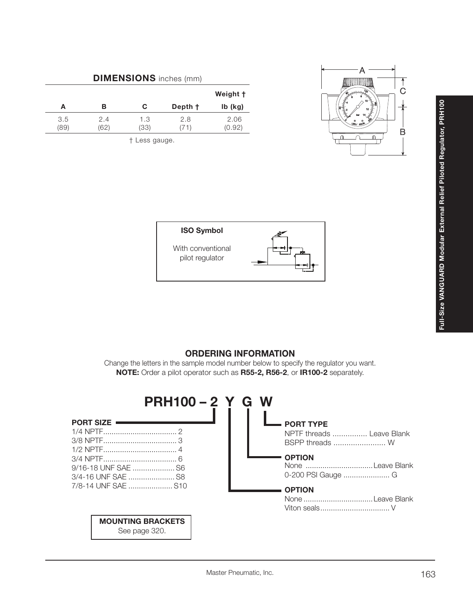| <b>DIMENSIONS</b> inches (mm) |             |             |              |                |  |  |
|-------------------------------|-------------|-------------|--------------|----------------|--|--|
|                               |             |             |              | Weight †       |  |  |
| А                             | в           | С           | Depth +      | $Ib$ (kg)      |  |  |
| 3.5<br>(89)                   | 2.4<br>(62) | 1.3<br>(33) | 2.8<br>( 1 ) | 2.06<br>(0.92) |  |  |

† Less gauge.





# **ORDERING INFORMATION**

Change the letters in the sample model number below to specify the regulator you want. **NOTE:** Order a pilot operator such as **R55-2, R56-2**, or **IR100-2** separately.

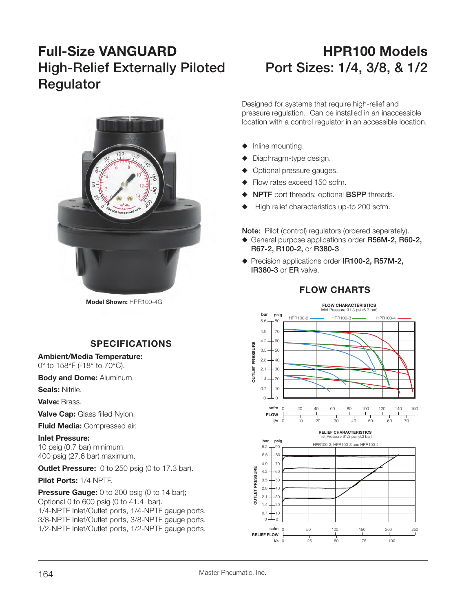# **Full-Size VANGUARD HPR100 ModelsHigh-Relief Externally Piloted Port Sizes: 1/4, 3/8, & 1/2 Regulator**



**Model Shown:** HPR100-4G

# **SPECIFICATIONS**

**Ambient/Media Temperature:** 0° to 158°F (-18° to 70°C).

**Body and Dome:** Aluminum.

**Seals:** Nitrile.

**Valve:** Brass.

**Valve Cap: Glass filled Nylon.** 

**Fluid Media:** Compressed air.

**Inlet Pressure:**10 psig (0.7 bar) minimum. 400 psig (27.6 bar) maximum.

**Outlet Pressure:** 0 to 250 psig (0 to 17.3 bar).

**Pilot Ports:** 1/4 NPTF.

**Pressure Gauge:** 0 to 200 psig (0 to 14 bar); Optional 0 to 600 psig (0 to 41.4 bar). 1/4-NPTF Inlet/Outlet ports, 1/4-NPTF gauge ports. 3/8-NPTF Inlet/Outlet ports, 3/8-NPTF gauge ports. 1/2-NPTF Inlet/Outlet ports, 1/2-NPTF gauge ports.

Designed for systems that require high-relief and pressure regulation. Can be installed in an inaccessible location with a control regulator in an accessible location.

- $\blacklozenge$  Inline mounting.
- $\blacklozenge$  Diaphragm-type design.
- Optional pressure gauges.
- $\blacklozenge$  Flow rates exceed 150 scfm.
- **NPTF** port threads; optional **BSPP** threads.
- High relief characteristics up-to 200 scfm.

**Note:** Pilot (control) regulators (ordered seperately).

- ◆ General purpose applications order R56M-2, R60-2,  **R67-2, R100-2,** or **R380-3**
- ◆ Precision applications order IR100-2, R57M-2,  **IR380-3** or **ER** valve.

# **FLOW CHARTS**